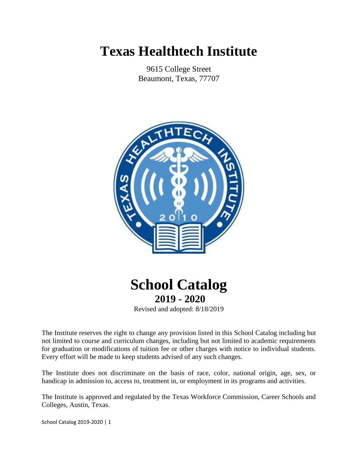# **Texas Healthtech Institute**

9615 College Street Beaumont, Texas, 77707



# **School Catalog 2019 - 2020**

Revised and adopted: 8/18/2019

The Institute reserves the right to change any provision listed in this School Catalog including but not limited to course and curriculum changes, including but not limited to academic requirements for graduation or modifications of tuition fee or other charges with notice to individual students. Every effort will be made to keep students advised of any such changes.

The Institute does not discriminate on the basis of race, color, national origin, age, sex, or handicap in admission to, access to, treatment in, or employment in its programs and activities.

The Institute is approved and regulated by the Texas Workforce Commission, Career Schools and Colleges, Austin, Texas.

School Catalog 2019-2020 | 1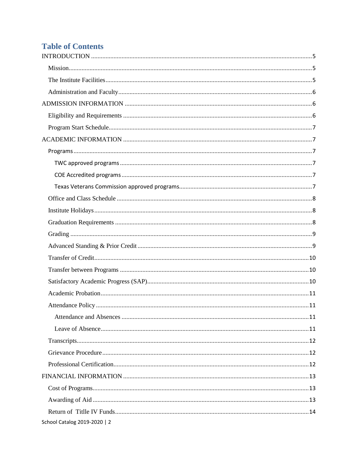## **Table of Contents**

| School Catalog 2019-2020   2 |  |
|------------------------------|--|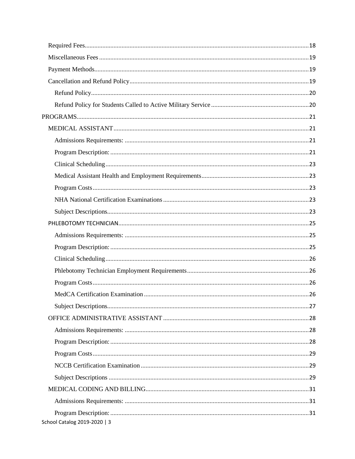| School Catalog 2019-2020   3 |  |
|------------------------------|--|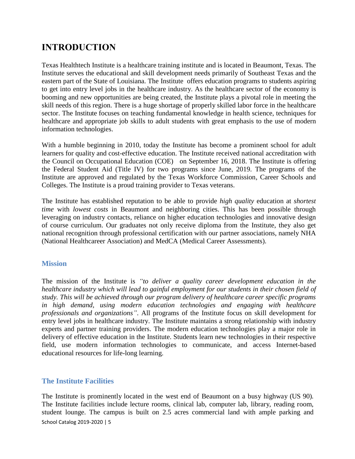## <span id="page-4-0"></span>**INTRODUCTION**

Texas Healthtech Institute is a healthcare training institute and is located in Beaumont, Texas. The Institute serves the educational and skill development needs primarily of Southeast Texas and the eastern part of the State of Louisiana. The Institute offers education programs to students aspiring to get into entry level jobs in the healthcare industry. As the healthcare sector of the economy is booming and new opportunities are being created, the Institute plays a pivotal role in meeting the skill needs of this region. There is a huge shortage of properly skilled labor force in the healthcare sector. The Institute focuses on teaching fundamental knowledge in health science, techniques for healthcare and appropriate job skills to adult students with great emphasis to the use of modern information technologies.

With a humble beginning in 2010, today the Institute has become a prominent school for adult learners for quality and cost-effective education. The Institute received national accreditation with the Council on Occupational Education (COE) on September 16, 2018. The Institute is offering the Federal Student Aid (Title IV) for two programs since June, 2019. The programs of the Institute are approved and regulated by the Texas Workforce Commission, Career Schools and Colleges. The Institute is a proud training provider to Texas veterans.

The Institute has established reputation to be able to provide *high quality* education at *shortest time* with *lowest costs* in Beaumont and neighboring cities. This has been possible through leveraging on industry contacts, reliance on higher education technologies and innovative design of course curriculum. Our graduates not only receive diploma from the Institute, they also get national recognition through professional certification with our partner associations, namely NHA (National Healthcareer Association) and MedCA (Medical Career Assessments).

## <span id="page-4-1"></span>**Mission**

The mission of the Institute is *"to deliver a quality career development education in the healthcare industry which will lead to gainful employment for our students in their chosen field of study. This will be achieved through our program delivery of healthcare career specific programs*  in high demand, using modern education technologies and engaging with healthcare *professionals and organizations"*. All programs of the Institute focus on skill development for entry level jobs in healthcare industry. The Institute maintains a strong relationship with industry experts and partner training providers. The modern education technologies play a major role in delivery of effective education in the Institute. Students learn new technologies in their respective field, use modern information technologies to communicate, and access Internet-based educational resources for life-long learning.

## <span id="page-4-2"></span>**The Institute Facilities**

School Catalog 2019-2020 | 5 The Institute is prominently located in the west end of Beaumont on a busy highway (US 90). The Institute facilities include lecture rooms, clinical lab, computer lab, library, reading room, student lounge. The campus is built on 2.5 acres commercial land with ample parking and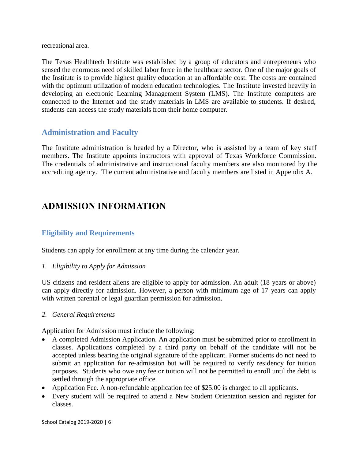recreational area.

The Texas Healthtech Institute was established by a group of educators and entrepreneurs who sensed the enormous need of skilled labor force in the healthcare sector. One of the major goals of the Institute is to provide highest quality education at an affordable cost. The costs are contained with the optimum utilization of modern education technologies. The Institute invested heavily in developing an electronic Learning Management System (LMS). The Institute computers are connected to the Internet and the study materials in LMS are available to students. If desired, students can access the study materials from their home computer.

## <span id="page-5-0"></span>**Administration and Faculty**

The Institute administration is headed by a Director, who is assisted by a team of key staff members. The Institute appoints instructors with approval of Texas Workforce Commission. The credentials of administrative and instructional faculty members are also monitored by the accrediting agency. The current administrative and faculty members are listed in Appendix A.

## <span id="page-5-1"></span>**ADMISSION INFORMATION**

## <span id="page-5-2"></span>**Eligibility and Requirements**

Students can apply for enrollment at any time during the calendar year.

## *1. Eligibility to Apply for Admission*

US citizens and resident aliens are eligible to apply for admission. An adult (18 years or above) can apply directly for admission. However, a person with minimum age of 17 years can apply with written parental or legal guardian permission for admission.

#### *2. General Requirements*

Application for Admission must include the following:

- A completed Admission Application. An application must be submitted prior to enrollment in classes. Applications completed by a third party on behalf of the candidate will not be accepted unless bearing the original signature of the applicant. Former students do not need to submit an application for re-admission but will be required to verify residency for tuition purposes. Students who owe any fee or tuition will not be permitted to enroll until the debt is settled through the appropriate office.
- Application Fee. A non-refundable application fee of \$25.00 is charged to all applicants.
- Every student will be required to attend a New Student Orientation session and register for classes.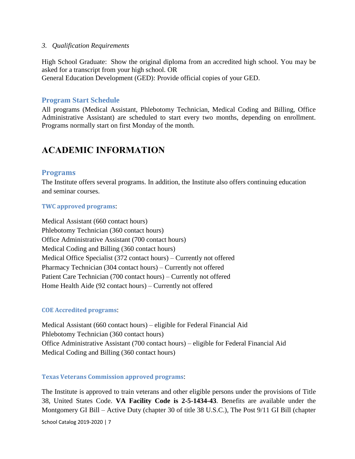#### *3. Qualification Requirements*

High School Graduate: Show the original diploma from an accredited high school. You may be asked for a transcript from your high school. OR

General Education Development (GED): Provide official copies of your GED.

## <span id="page-6-0"></span>**Program Start Schedule**

All programs (Medical Assistant, Phlebotomy Technician, Medical Coding and Billing, Office Administrative Assistant) are scheduled to start every two months, depending on enrollment. Programs normally start on first Monday of the month.

## <span id="page-6-1"></span>**ACADEMIC INFORMATION**

## <span id="page-6-2"></span>**Programs**

The Institute offers several programs. In addition, the Institute also offers continuing education and seminar courses.

#### <span id="page-6-3"></span>**TWC approved programs**:

Medical Assistant (660 contact hours) Phlebotomy Technician (360 contact hours) Office Administrative Assistant (700 contact hours) Medical Coding and Billing (360 contact hours) Medical Office Specialist (372 contact hours) – Currently not offered Pharmacy Technician (304 contact hours) – Currently not offered Patient Care Technician (700 contact hours) – Currently not offered Home Health Aide (92 contact hours) – Currently not offered

#### <span id="page-6-4"></span>**COE Accredited programs**:

Medical Assistant (660 contact hours) – eligible for Federal Financial Aid Phlebotomy Technician (360 contact hours) Office Administrative Assistant (700 contact hours) – eligible for Federal Financial Aid Medical Coding and Billing (360 contact hours)

#### <span id="page-6-5"></span>**Texas Veterans Commission approved programs**:

School Catalog 2019-2020 | 7 The Institute is approved to train veterans and other eligible persons under the provisions of Title 38, United States Code. **VA Facility Code is 2-5-1434-43**. Benefits are available under the Montgomery GI Bill – Active Duty (chapter 30 of title 38 U.S.C.), The Post 9/11 GI Bill (chapter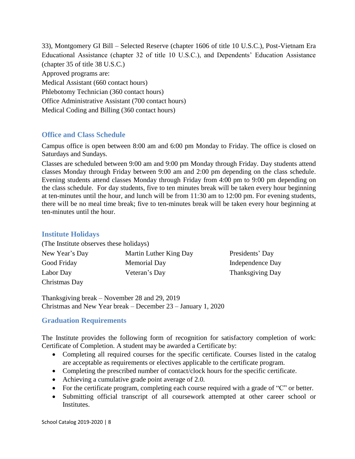33), Montgomery GI Bill – Selected Reserve (chapter 1606 of title 10 U.S.C.), Post-Vietnam Era Educational Assistance (chapter 32 of title 10 U.S.C.), and Dependents' Education Assistance (chapter 35 of title 38 U.S.C.) Approved programs are: Medical Assistant (660 contact hours) Phlebotomy Technician (360 contact hours) Office Administrative Assistant (700 contact hours) Medical Coding and Billing (360 contact hours)

## <span id="page-7-0"></span>**Office and Class Schedule**

Campus office is open between 8:00 am and 6:00 pm Monday to Friday. The office is closed on Saturdays and Sundays.

Classes are scheduled between 9:00 am and 9:00 pm Monday through Friday. Day students attend classes Monday through Friday between 9:00 am and 2:00 pm depending on the class schedule. Evening students attend classes Monday through Friday from 4:00 pm to 9:00 pm depending on the class schedule. For day students, five to ten minutes break will be taken every hour beginning at ten-minutes until the hour, and lunch will be from 11:30 am to 12:00 pm. For evening students, there will be no meal time break; five to ten-minutes break will be taken every hour beginning at ten-minutes until the hour.

## <span id="page-7-1"></span>**Institute Holidays**

| <b>THOUGHUL TRONGUAY</b>                |                        |                  |
|-----------------------------------------|------------------------|------------------|
| (The Institute observes these holidays) |                        |                  |
| New Year's Day                          | Martin Luther King Day | Presidents' Day  |
| Good Friday                             | <b>Memorial Day</b>    | Independence Day |
| Labor Day                               | Veteran's Day          | Thanksgiving Day |
| Christmas Day                           |                        |                  |

Thanksgiving break – November 28 and 29, 2019 Christmas and New Year break – December 23 – January 1, 2020

## <span id="page-7-2"></span>**Graduation Requirements**

The Institute provides the following form of recognition for satisfactory completion of work: Certificate of Completion. A student may be awarded a Certificate by:

- Completing all required courses for the specific certificate. Courses listed in the catalog are acceptable as requirements or electives applicable to the certificate program.
- Completing the prescribed number of contact/clock hours for the specific certificate.
- Achieving a cumulative grade point average of 2.0.
- For the certificate program, completing each course required with a grade of "C" or better.
- Submitting official transcript of all coursework attempted at other career school or Institutes.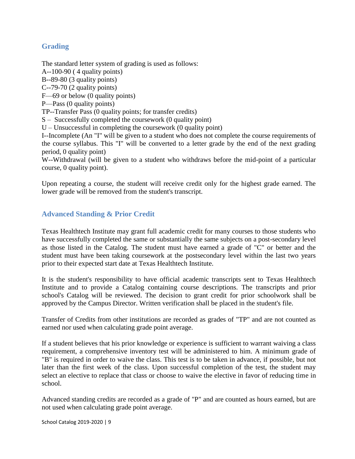## <span id="page-8-0"></span>**Grading**

The standard letter system of grading is used as follows:

A--100-90 ( 4 quality points)

B--89-80 (3 quality points)

C--79-70 (2 quality points)

F—69 or below (0 quality points)

P—Pass (0 quality points)

TP--Transfer Pass (0 quality points; for transfer credits)

S – Successfully completed the coursework (0 quality point)

 $U$  – Unsuccessful in completing the coursework (0 quality point)

I--Incomplete (An "I" will be given to a student who does not complete the course requirements of the course syllabus. This "I" will be converted to a letter grade by the end of the next grading period, 0 quality point)

W--Withdrawal (will be given to a student who withdraws before the mid-point of a particular course, 0 quality point).

Upon repeating a course, the student will receive credit only for the highest grade earned. The lower grade will be removed from the student's transcript.

## <span id="page-8-1"></span>**Advanced Standing & Prior Credit**

Texas Healthtech Institute may grant full academic credit for many courses to those students who have successfully completed the same or substantially the same subjects on a post-secondary level as those listed in the Catalog. The student must have earned a grade of "C" or better and the student must have been taking coursework at the postsecondary level within the last two years prior to their expected start date at Texas Healthtech Institute.

It is the student's responsibility to have official academic transcripts sent to Texas Healthtech Institute and to provide a Catalog containing course descriptions. The transcripts and prior school's Catalog will be reviewed. The decision to grant credit for prior schoolwork shall be approved by the Campus Director. Written verification shall be placed in the student's file.

Transfer of Credits from other institutions are recorded as grades of "TP" and are not counted as earned nor used when calculating grade point average.

If a student believes that his prior knowledge or experience is sufficient to warrant waiving a class requirement, a comprehensive inventory test will be administered to him. A minimum grade of "B" is required in order to waive the class. This test is to be taken in advance, if possible, but not later than the first week of the class. Upon successful completion of the test, the student may select an elective to replace that class or choose to waive the elective in favor of reducing time in school.

Advanced standing credits are recorded as a grade of "P" and are counted as hours earned, but are not used when calculating grade point average.

School Catalog 2019-2020 | 9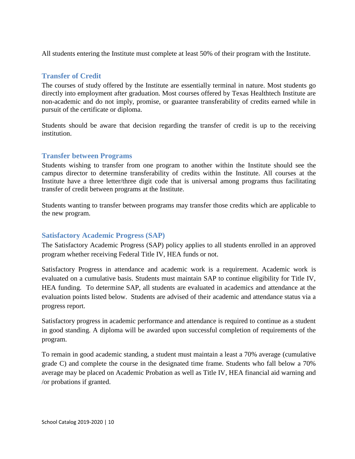All students entering the Institute must complete at least 50% of their program with the Institute.

## <span id="page-9-0"></span>**Transfer of Credit**

The courses of study offered by the Institute are essentially terminal in nature. Most students go directly into employment after graduation. Most courses offered by Texas Healthtech Institute are non-academic and do not imply, promise, or guarantee transferability of credits earned while in pursuit of the certificate or diploma.

Students should be aware that decision regarding the transfer of credit is up to the receiving institution.

## <span id="page-9-1"></span>**Transfer between Programs**

Students wishing to transfer from one program to another within the Institute should see the campus director to determine transferability of credits within the Institute. All courses at the Institute have a three letter/three digit code that is universal among programs thus facilitating transfer of credit between programs at the Institute.

Students wanting to transfer between programs may transfer those credits which are applicable to the new program.

## <span id="page-9-2"></span>**Satisfactory Academic Progress (SAP)**

The Satisfactory Academic Progress (SAP) policy applies to all students enrolled in an approved program whether receiving Federal Title IV, HEA funds or not.

Satisfactory Progress in attendance and academic work is a requirement. Academic work is evaluated on a cumulative basis. Students must maintain SAP to continue eligibility for Title IV, HEA funding. To determine SAP, all students are evaluated in academics and attendance at the evaluation points listed below. Students are advised of their academic and attendance status via a progress report.

Satisfactory progress in academic performance and attendance is required to continue as a student in good standing. A diploma will be awarded upon successful completion of requirements of the program.

To remain in good academic standing, a student must maintain a least a 70% average (cumulative grade C) and complete the course in the designated time frame. Students who fall below a 70% average may be placed on Academic Probation as well as Title IV, HEA financial aid warning and /or probations if granted.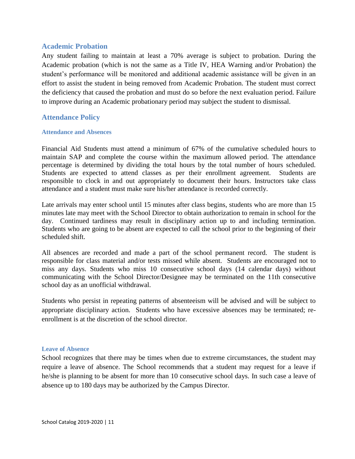### <span id="page-10-0"></span>**Academic Probation**

Any student failing to maintain at least a 70% average is subject to probation. During the Academic probation (which is not the same as a Title IV, HEA Warning and/or Probation) the student's performance will be monitored and additional academic assistance will be given in an effort to assist the student in being removed from Academic Probation. The student must correct the deficiency that caused the probation and must do so before the next evaluation period. Failure to improve during an Academic probationary period may subject the student to dismissal.

## <span id="page-10-1"></span>**Attendance Policy**

#### <span id="page-10-2"></span>**Attendance and Absences**

Financial Aid Students must attend a minimum of 67% of the cumulative scheduled hours to maintain SAP and complete the course within the maximum allowed period. The attendance percentage is determined by dividing the total hours by the total number of hours scheduled. Students are expected to attend classes as per their enrollment agreement. Students are responsible to clock in and out appropriately to document their hours. Instructors take class attendance and a student must make sure his/her attendance is recorded correctly.

Late arrivals may enter school until 15 minutes after class begins, students who are more than 15 minutes late may meet with the School Director to obtain authorization to remain in school for the day. Continued tardiness may result in disciplinary action up to and including termination. Students who are going to be absent are expected to call the school prior to the beginning of their scheduled shift.

All absences are recorded and made a part of the school permanent record. The student is responsible for class material and/or tests missed while absent. Students are encouraged not to miss any days. Students who miss 10 consecutive school days (14 calendar days) without communicating with the School Director/Designee may be terminated on the 11th consecutive school day as an unofficial withdrawal.

Students who persist in repeating patterns of absenteeism will be advised and will be subject to appropriate disciplinary action. Students who have excessive absences may be terminated; reenrollment is at the discretion of the school director.

#### <span id="page-10-3"></span>**Leave of Absence**

School recognizes that there may be times when due to extreme circumstances, the student may require a leave of absence. The School recommends that a student may request for a leave if he/she is planning to be absent for more than 10 consecutive school days. In such case a leave of absence up to 180 days may be authorized by the Campus Director.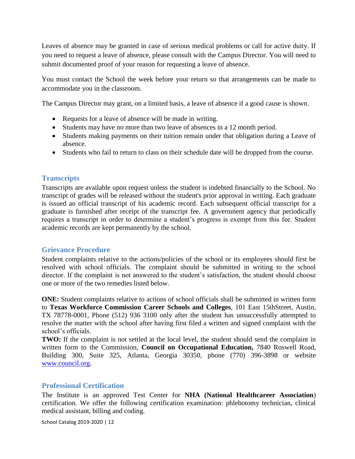Leaves of absence may be granted in case of serious medical problems or call for active duity. If you need to request a leave of absence, please consult with the Campus Director. You will need to submit documented proof of your reason for requesting a leave of absence.

You must contact the School the week before your return so that arrangements can be made to accommodate you in the classroom.

The Campus Director may grant, on a limited basis, a leave of absence if a good cause is shown.

- Requests for a leave of absence will be made in writing.
- Students may have no more than two leave of absences in a 12 month period.
- Students making payments on their tuition remain under that obligation during a Leave of absence.
- Students who fail to return to class on their schedule date will be dropped from the course.

## <span id="page-11-0"></span>**Transcripts**

Transcripts are available upon request unless the student is indebted financially to the School. No transcript of grades will be released without the student's prior approval in writing. Each graduate is issued an official transcript of his academic record. Each subsequent official transcript for a graduate is furnished after receipt of the transcript fee. A government agency that periodically requires a transcript in order to determine a student's progress is exempt from this fee. Student academic records are kept permanently by the school.

## <span id="page-11-1"></span>**Grievance Procedure**

Student complaints relative to the actions/policies of the school or its employees should first be resolved with school officials. The complaint should be submitted in writing to the school director. If the complaint is not answered to the student's satisfaction, the student should choose one or more of the two remedies listed below.

**ONE:** Student complaints relative to actions of school officials shall be submitted in written form to **Texas Workforce Commission Career Schools and Colleges**, 101 East 15thStreet, Austin, TX 78778-0001, Phone (512) 936 3100 only after the student has unsuccessfully attempted to resolve the matter with the school after having first filed a written and signed complaint with the school's officials.

**TWO:** If the complaint is not settled at the local level, the student should send the complaint in written form to the Commission, **Council on Occupational Education,** 7840 Roswell Road, Building 300, Suite 325, Atlanta, Georgia 30350, phone (770) 396-3898 or website [www.council.org.](http://www.council.org/)

## <span id="page-11-2"></span>**Professional Certification**

The Institute is an approved Test Center for **NHA (National Healthcareer Association**) certification. We offer the following certification examination: phlebotomy technician, clinical medical assistant, billing and coding.

School Catalog 2019-2020 | 12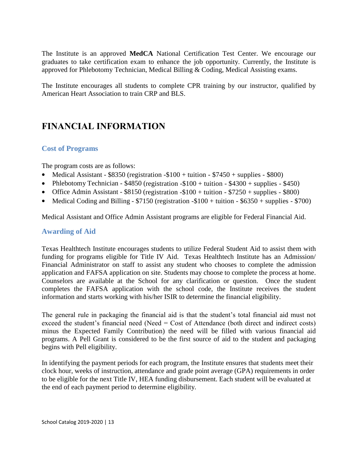The Institute is an approved **MedCA** National Certification Test Center. We encourage our graduates to take certification exam to enhance the job opportunity. Currently, the Institute is approved for Phlebotomy Technician, Medical Billing & Coding, Medical Assisting exams.

The Institute encourages all students to complete CPR training by our instructor, qualified by American Heart Association to train CRP and BLS.

## <span id="page-12-0"></span>**FINANCIAL INFORMATION**

## <span id="page-12-1"></span>**Cost of Programs**

The program costs are as follows:

- Medical Assistant  $$8350$  (registration - $$100 + t$ uition  $$7450 + s$ upplies  $$800$ )
- Phlebotomy Technician  $$4850$  (registration  $$100 + t$ uition  $$4300 + s$ upplies  $$450$ )
- Office Admin Assistant  $$8150$  (registration - $$100 + t$ uition  $$7250 + s$ upplies  $$800$ )
- Medical Coding and Billing  $$7150$  (registration - $$100 + t$ uition  $$6350 + s$ upplies  $$700$ )

Medical Assistant and Office Admin Assistant programs are eligible for Federal Financial Aid.

#### <span id="page-12-2"></span>**Awarding of Aid**

Texas Healthtech Institute encourages students to utilize Federal Student Aid to assist them with funding for programs eligible for Title IV Aid. Texas Healthtech Institute has an Admission/ Financial Administrator on staff to assist any student who chooses to complete the admission application and FAFSA application on site. Students may choose to complete the process at home. Counselors are available at the School for any clarification or question. Once the student completes the FAFSA application with the school code, the Institute receives the student information and starts working with his/her ISIR to determine the financial eligibility.

The general rule in packaging the financial aid is that the student's total financial aid must not exceed the student's financial need (Need = Cost of Attendance (both direct and indirect costs) minus the Expected Family Contribution) the need will be filled with various financial aid programs. A Pell Grant is considered to be the first source of aid to the student and packaging begins with Pell eligibility.

In identifying the payment periods for each program, the Institute ensures that students meet their clock hour, weeks of instruction, attendance and grade point average (GPA) requirements in order to be eligible for the next Title IV, HEA funding disbursement. Each student will be evaluated at the end of each payment period to determine eligibility.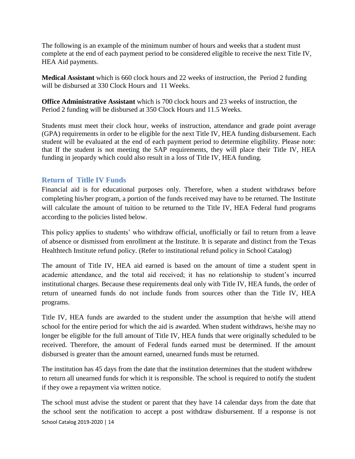The following is an example of the minimum number of hours and weeks that a student must complete at the end of each payment period to be considered eligible to receive the next Title IV, HEA Aid payments.

**Medical Assistant** which is 660 clock hours and 22 weeks of instruction, the Period 2 funding will be disbursed at 330 Clock Hours and 11 Weeks.

**Office Administrative Assistant** which is 700 clock hours and 23 weeks of instruction, the Period 2 funding will be disbursed at 350 Clock Hours and 11.5 Weeks.

Students must meet their clock hour, weeks of instruction, attendance and grade point average (GPA) requirements in order to be eligible for the next Title IV, HEA funding disbursement. Each student will be evaluated at the end of each payment period to determine eligibility. Please note: that If the student is not meeting the SAP requirements, they will place their Title IV, HEA funding in jeopardy which could also result in a loss of Title IV, HEA funding.

## <span id="page-13-0"></span>**Return of Titlle IV Funds**

Financial aid is for educational purposes only. Therefore, when a student withdraws before completing his/her program, a portion of the funds received may have to be returned. The Institute will calculate the amount of tuition to be returned to the Title IV, HEA Federal fund programs according to the policies listed below.

This policy applies to students' who withdraw official, unofficially or fail to return from a leave of absence or dismissed from enrollment at the Institute. It is separate and distinct from the Texas Healthtech Institute refund policy. (Refer to institutional refund policy in School Catalog)

The amount of Title IV, HEA aid earned is based on the amount of time a student spent in academic attendance, and the total aid received; it has no relationship to student's incurred institutional charges. Because these requirements deal only with Title IV, HEA funds, the order of return of unearned funds do not include funds from sources other than the Title IV, HEA programs.

Title IV, HEA funds are awarded to the student under the assumption that he/she will attend school for the entire period for which the aid is awarded. When student withdraws, he/she may no longer be eligible for the full amount of Title IV, HEA funds that were originally scheduled to be received. Therefore, the amount of Federal funds earned must be determined. If the amount disbursed is greater than the amount earned, unearned funds must be returned.

The institution has 45 days from the date that the institution determines that the student withdrew to return all unearned funds for which it is responsible. The school is required to notify the student if they owe a repayment via written notice.

School Catalog 2019-2020 | 14 The school must advise the student or parent that they have 14 calendar days from the date that the school sent the notification to accept a post withdraw disbursement. If a response is not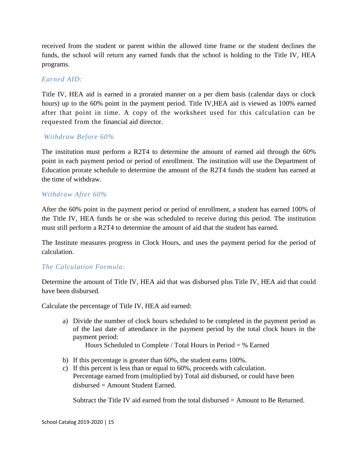received from the student or parent within the allowed time frame or the student declines the funds, the school will return any earned funds that the school is holding to the Title IV, HEA programs.

### *Earned AID:*

Title IV, HEA aid is earned in a prorated manner on a per diem basis (calendar days or clock hours) up to the 60% point in the payment period. Title IV,HEA aid is viewed as 100% earned after that point in time. A copy of the worksheet used for this calculation can be requested from the financial aid director.

#### *Withdraw Before 60%*

The institution must perform a R2T4 to determine the amount of earned aid through the 60% point in each payment period or period of enrollment. The institution will use the Department of Education prorate schedule to determine the amount of the R2T4 funds the student has earned at the time of withdraw.

#### *Withdraw After 60%*

After the 60% point in the payment period or period of enrollment, a student has earned 100% of the Title IV, HEA funds he or she was scheduled to receive during this period. The institution must still perform a R2T4 to determine the amount of aid that the student has earned.

The Institute measures progress in Clock Hours, and uses the payment period for the period of calculation.

## *The Calculation Formula:*

Determine the amount of Title IV, HEA aid that was disbursed plus Title IV, HEA aid that could have been disbursed.

Calculate the percentage of Title IV, HEA aid earned:

a) Divide the number of clock hours scheduled to be completed in the payment period as of the last date of attendance in the payment period by the total clock hours in the payment period:

Hours Scheduled to Complete / Total Hours in Period = % Earned

- b) If this percentage is greater than 60%, the student earns 100%.
- c) If this percent is less than or equal to 60%, proceeds with calculation. Percentage earned from (multiplied by) Total aid disbursed, or could have been disbursed = Amount Student Earned.

Subtract the Title IV aid earned from the total disbursed = Amount to Be Returned.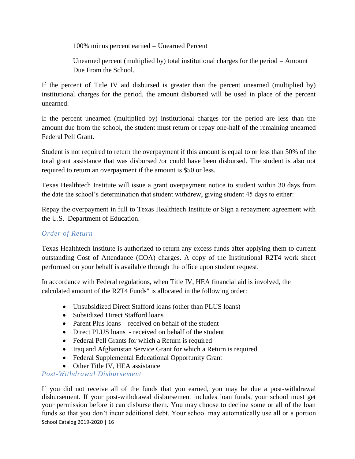$100\%$  minus percent earned = Unearned Percent

Unearned percent (multiplied by) total institutional charges for the period = Amount Due From the School.

If the percent of Title IV aid disbursed is greater than the percent unearned (multiplied by) institutional charges for the period, the amount disbursed will be used in place of the percent unearned.

If the percent unearned (multiplied by) institutional charges for the period are less than the amount due from the school, the student must return or repay one-half of the remaining unearned Federal Pell Grant.

Student is not required to return the overpayment if this amount is equal to or less than 50% of the total grant assistance that was disbursed /or could have been disbursed. The student is also not required to return an overpayment if the amount is \$50 or less.

Texas Healthtech Institute will issue a grant overpayment notice to student within 30 days from the date the school's determination that student withdrew, giving student 45 days to either:

Repay the overpayment in full to Texas Healthtech Institute or Sign a repayment agreement with the U.S. Department of Education.

## *Order of Return*

Texas Healthtech Institute is authorized to return any excess funds after applying them to current outstanding Cost of Attendance (COA) charges. A copy of the Institutional R2T4 work sheet performed on your behalf is available through the office upon student request.

In accordance with Federal regulations, when Title IV, HEA financial aid is involved, the calculated amount of the R2T4 Funds" is allocated in the following order:

- Unsubsidized Direct Stafford loans (other than PLUS loans)
- Subsidized Direct Stafford loans
- Parent Plus loans received on behalf of the student
- Direct PLUS loans received on behalf of the student
- Federal Pell Grants for which a Return is required
- Iraq and Afghanistan Service Grant for which a Return is required
- Federal Supplemental Educational Opportunity Grant
- Other Title IV, HEA assistance

## *Post-Withdrawal Disbursement*

School Catalog 2019-2020 | 16 If you did not receive all of the funds that you earned, you may be due a post-withdrawal disbursement. If your post-withdrawal disbursement includes loan funds, your school must get your permission before it can disburse them. You may choose to decline some or all of the loan funds so that you don't incur additional debt. Your school may automatically use all or a portion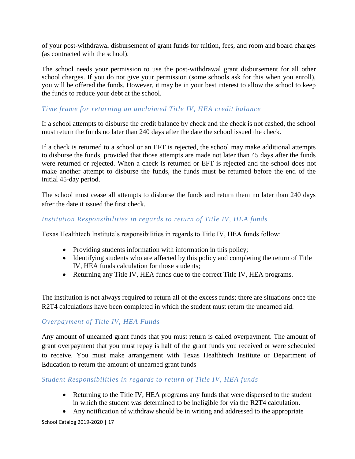of your post-withdrawal disbursement of grant funds for tuition, fees, and room and board charges (as contracted with the school).

The school needs your permission to use the post-withdrawal grant disbursement for all other school charges. If you do not give your permission (some schools ask for this when you enroll), you will be offered the funds. However, it may be in your best interest to allow the school to keep the funds to reduce your debt at the school.

## *Time frame for returning an unclaimed Title IV, HEA credit balance*

If a school attempts to disburse the credit balance by check and the check is not cashed, the school must return the funds no later than 240 days after the date the school issued the check.

If a check is returned to a school or an EFT is rejected, the school may make additional attempts to disburse the funds, provided that those attempts are made not later than 45 days after the funds were returned or rejected. When a check is returned or EFT is rejected and the school does not make another attempt to disburse the funds, the funds must be returned before the end of the initial 45-day period.

The school must cease all attempts to disburse the funds and return them no later than 240 days after the date it issued the first check.

## *Institution Responsibilities in regards to return of Title IV, HEA funds*

Texas Healthtech Institute's responsibilities in regards to Title IV, HEA funds follow:

- Providing students information with information in this policy;
- Identifying students who are affected by this policy and completing the return of Title IV, HEA funds calculation for those students;
- Returning any Title IV, HEA funds due to the correct Title IV, HEA programs.

The institution is not always required to return all of the excess funds; there are situations once the R2T4 calculations have been completed in which the student must return the unearned aid.

## *Overpayment of Title IV, HEA Funds*

Any amount of unearned grant funds that you must return is called overpayment. The amount of grant overpayment that you must repay is half of the grant funds you received or were scheduled to receive. You must make arrangement with Texas Healthtech Institute or Department of Education to return the amount of unearned grant funds

## *Student Responsibilities in regards to return of Title IV, HEA funds*

- Returning to the Title IV, HEA programs any funds that were dispersed to the student in which the student was determined to be ineligible for via the R2T4 calculation.
- Any notification of withdraw should be in writing and addressed to the appropriate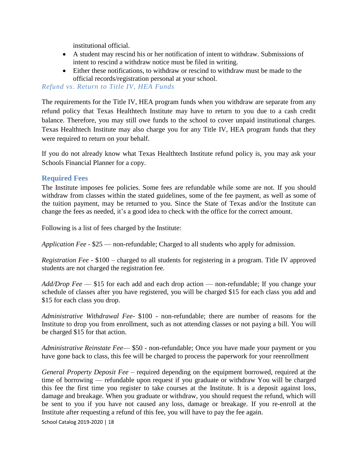institutional official.

- A student may rescind his or her notification of intent to withdraw. Submissions of intent to rescind a withdraw notice must be filed in writing.
- Either these notifications, to withdraw or rescind to withdraw must be made to the official records/registration personal at your school.

#### *Refund vs. Return to Title IV, HEA Funds*

The requirements for the Title IV, HEA program funds when you withdraw are separate from any refund policy that Texas Healthtech Institute may have to return to you due to a cash credit balance. Therefore, you may still owe funds to the school to cover unpaid institutional charges. Texas Healthtech Institute may also charge you for any Title IV, HEA program funds that they were required to return on your behalf.

If you do not already know what Texas Healthtech Institute refund policy is, you may ask your Schools Financial Planner for a copy.

## <span id="page-17-0"></span>**Required Fees**

The Institute imposes fee policies. Some fees are refundable while some are not. If you should withdraw from classes within the stated guidelines, some of the fee payment, as well as some of the tuition payment, may be returned to you. Since the State of Texas and/or the Institute can change the fees as needed, it's a good idea to check with the office for the correct amount.

Following is a list of fees charged by the Institute:

*Application Fee* - \$25 — non-refundable; Charged to all students who apply for admission.

*Registration Fee* - \$100 – charged to all students for registering in a program. Title IV approved students are not charged the registration fee.

*Add/Drop Fee* — \$15 for each add and each drop action — non-refundable; If you change your schedule of classes after you have registered, you will be charged \$15 for each class you add and \$15 for each class you drop.

*Administrative Withdrawal Fee*- \$100 - non-refundable; there are number of reasons for the Institute to drop you from enrollment, such as not attending classes or not paying a bill. You will be charged \$15 for that action.

*Administrative Reinstate Fee*— \$50 - non-refundable; Once you have made your payment or you have gone back to class, this fee will be charged to process the paperwork for your reenrollment

*General Property Deposit Fee* – required depending on the equipment borrowed, required at the time of borrowing — refundable upon request if you graduate or withdraw You will be charged this fee the first time you register to take courses at the Institute. It is a deposit against loss, damage and breakage. When you graduate or withdraw, you should request the refund, which will be sent to you if you have not caused any loss, damage or breakage. If you re-enroll at the Institute after requesting a refund of this fee, you will have to pay the fee again.

School Catalog 2019-2020 | 18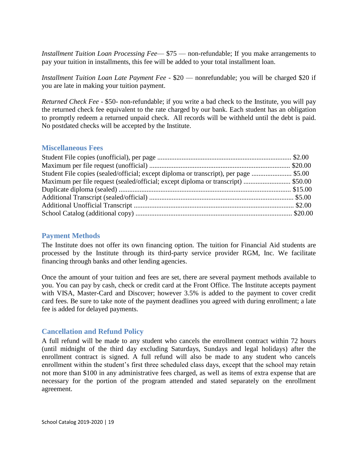*Installment Tuition Loan Processing Fee*— \$75 — non-refundable; If you make arrangements to pay your tuition in installments, this fee will be added to your total installment loan.

*Installment Tuition Loan Late Payment Fee* - \$20 — nonrefundable; you will be charged \$20 if you are late in making your tuition payment.

*Returned Check Fee* - \$50- non-refundable; if you write a bad check to the Institute, you will pay the returned check fee equivalent to the rate charged by our bank. Each student has an obligation to promptly redeem a returned unpaid check. All records will be withheld until the debt is paid. No postdated checks will be accepted by the Institute.

#### <span id="page-18-0"></span>**Miscellaneous Fees**

| Student File copies (sealed/official; except diploma or transcript), per page  \$5.00 |  |
|---------------------------------------------------------------------------------------|--|
|                                                                                       |  |
|                                                                                       |  |
|                                                                                       |  |
|                                                                                       |  |
|                                                                                       |  |

## <span id="page-18-1"></span>**Payment Methods**

The Institute does not offer its own financing option. The tuition for Financial Aid students are processed by the Institute through its third-party service provider RGM, Inc. We facilitate financing through banks and other lending agencies.

Once the amount of your tuition and fees are set, there are several payment methods available to you. You can pay by cash, check or credit card at the Front Office. The Institute accepts payment with VISA, Master-Card and Discover; however 3.5% is added to the payment to cover credit card fees. Be sure to take note of the payment deadlines you agreed with during enrollment; a late fee is added for delayed payments.

#### <span id="page-18-2"></span>**Cancellation and Refund Policy**

A full refund will be made to any student who cancels the enrollment contract within 72 hours (until midnight of the third day excluding Saturdays, Sundays and legal holidays) after the enrollment contract is signed. A full refund will also be made to any student who cancels enrollment within the student's first three scheduled class days, except that the school may retain not more than \$100 in any administrative fees charged, as well as items of extra expense that are necessary for the portion of the program attended and stated separately on the enrollment agreement.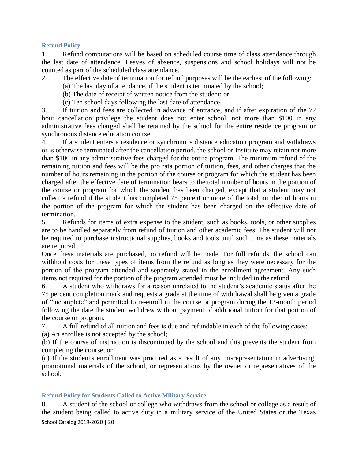#### <span id="page-19-0"></span>**Refund Policy**

1. Refund computations will be based on scheduled course time of class attendance through the last date of attendance. Leaves of absence, suspensions and school holidays will not be counted as part of the scheduled class attendance.

2. The effective date of termination for refund purposes will be the earliest of the following:

(a) The last day of attendance, if the student is terminated by the school;

(b) The date of receipt of written notice from the student; or

(c) Ten school days following the last date of attendance.

3. If tuition and fees are collected in advance of entrance, and if after expiration of the 72 hour cancellation privilege the student does not enter school, not more than \$100 in any administrative fees charged shall be retained by the school for the entire residence program or synchronous distance education course.

4. If a student enters a residence or synchronous distance education program and withdraws or is otherwise terminated after the cancellation period, the school or Institute may retain not more than \$100 in any administrative fees charged for the entire program. The minimum refund of the remaining tuition and fees will be the pro rata portion of tuition, fees, and other charges that the number of hours remaining in the portion of the course or program for which the student has been charged after the effective date of termination bears to the total number of hours in the portion of the course or program for which the student has been charged, except that a student may not collect a refund if the student has completed 75 percent or more of the total number of hours in the portion of the program for which the student has been charged on the effective date of termination.

5. Refunds for items of extra expense to the student, such as books, tools, or other supplies are to be handled separately from refund of tuition and other academic fees. The student will not be required to purchase instructional supplies, books and tools until such time as these materials are required.

Once these materials are purchased, no refund will be made. For full refunds, the school can withhold costs for these types of items from the refund as long as they were necessary for the portion of the program attended and separately stated in the enrollment agreement. Any such items not required for the portion of the program attended must be included in the refund.

6. A student who withdraws for a reason unrelated to the student's academic status after the 75 percent completion mark and requests a grade at the time of withdrawal shall be given a grade of "incomplete" and permitted to re-enroll in the course or program during the 12-month period following the date the student withdrew without payment of additional tuition for that portion of the course or program.

7. A full refund of all tuition and fees is due and refundable in each of the following cases:

(a) An enrollee is not accepted by the school;

(b) If the course of instruction is discontinued by the school and this prevents the student from completing the course; or

(c) If the student's enrollment was procured as a result of any misrepresentation in advertising, promotional materials of the school, or representations by the owner or representatives of the school.

#### <span id="page-19-1"></span>**Refund Policy for Students Called to Active Military Service**

School Catalog 2019-2020 | 20 8. A student of the school or college who withdraws from the school or college as a result of the student being called to active duty in a military service of the United States or the Texas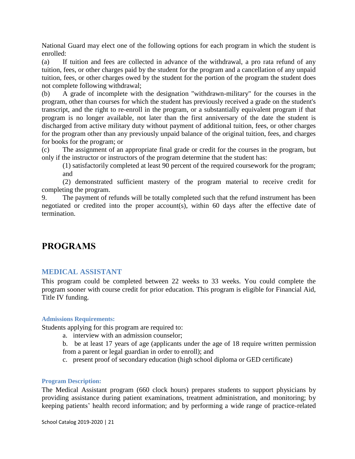National Guard may elect one of the following options for each program in which the student is enrolled:

(a) If tuition and fees are collected in advance of the withdrawal, a pro rata refund of any tuition, fees, or other charges paid by the student for the program and a cancellation of any unpaid tuition, fees, or other charges owed by the student for the portion of the program the student does not complete following withdrawal;

(b) A grade of incomplete with the designation "withdrawn-military" for the courses in the program, other than courses for which the student has previously received a grade on the student's transcript, and the right to re-enroll in the program, or a substantially equivalent program if that program is no longer available, not later than the first anniversary of the date the student is discharged from active military duty without payment of additional tuition, fees, or other charges for the program other than any previously unpaid balance of the original tuition, fees, and charges for books for the program; or

(c) The assignment of an appropriate final grade or credit for the courses in the program, but only if the instructor or instructors of the program determine that the student has:

(1) satisfactorily completed at least 90 percent of the required coursework for the program; and

(2) demonstrated sufficient mastery of the program material to receive credit for completing the program.

9. The payment of refunds will be totally completed such that the refund instrument has been negotiated or credited into the proper account(s), within 60 days after the effective date of termination.

## <span id="page-20-0"></span>**PROGRAMS**

## <span id="page-20-1"></span>**MEDICAL ASSISTANT**

This program could be completed between 22 weeks to 33 weeks. You could complete the program sooner with course credit for prior education. This program is eligible for Financial Aid, Title IV funding.

#### <span id="page-20-2"></span>**Admissions Requirements:**

Students applying for this program are required to:

a. interview with an admission counselor;

b. be at least 17 years of age (applicants under the age of 18 require written permission from a parent or legal guardian in order to enroll); and

c. present proof of secondary education (high school diploma or GED certificate)

#### <span id="page-20-3"></span>**Program Description:**

The Medical Assistant program (660 clock hours) prepares students to support physicians by providing assistance during patient examinations, treatment administration, and monitoring; by keeping patients' health record information; and by performing a wide range of practice-related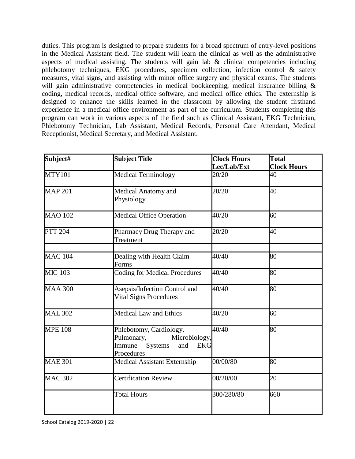duties. This program is designed to prepare students for a broad spectrum of entry-level positions in the Medical Assistant field. The student will learn the clinical as well as the administrative aspects of medical assisting. The students will gain lab & clinical competencies including phlebotomy techniques, EKG procedures, specimen collection, infection control & safety measures, vital signs, and assisting with minor office surgery and physical exams. The students will gain administrative competencies in medical bookkeeping, medical insurance billing & coding, medical records, medical office software, and medical office ethics. The externship is designed to enhance the skills learned in the classroom by allowing the student firsthand experience in a medical office environment as part of the curriculum. Students completing this program can work in various aspects of the field such as Clinical Assistant, EKG Technician, Phlebotomy Technician, Lab Assistant, Medical Records, Personal Care Attendant, Medical Receptionist, Medical Secretary, and Medical Assistant.

| Subject#       | <b>Subject Title</b>                                                                                                  | <b>Clock Hours</b><br>Lec/Lab/Ext | <b>Total</b><br><b>Clock Hours</b> |
|----------------|-----------------------------------------------------------------------------------------------------------------------|-----------------------------------|------------------------------------|
| <b>MTY101</b>  | <b>Medical Terminology</b>                                                                                            | 20/20                             | 40                                 |
| <b>MAP 201</b> | Medical Anatomy and<br>Physiology                                                                                     | 20/20                             | 40                                 |
| <b>MAO 102</b> | <b>Medical Office Operation</b>                                                                                       | 40/20                             | 60                                 |
| <b>PTT 204</b> | Pharmacy Drug Therapy and<br>Treatment                                                                                | 20/20                             | 40                                 |
| <b>MAC 104</b> | Dealing with Health Claim<br>Forms                                                                                    | 40/40                             | 80                                 |
| <b>MIC 103</b> | <b>Coding for Medical Procedures</b>                                                                                  | 40/40                             | 80                                 |
| <b>MAA 300</b> | Asepsis/Infection Control and<br><b>Vital Signs Procedures</b>                                                        | 40/40                             | 80                                 |
| <b>MAL 302</b> | <b>Medical Law and Ethics</b>                                                                                         | 40/20                             | 60                                 |
| <b>MPE 108</b> | Phlebotomy, Cardiology,<br>Pulmonary,<br>Microbiology,<br>Immune<br><b>Systems</b><br>and<br><b>EKG</b><br>Procedures | 40/40                             | 80                                 |
| <b>MAE 301</b> | <b>Medical Assistant Externship</b>                                                                                   | 00/00/80                          | 80                                 |
| <b>MAC 302</b> | <b>Certification Review</b>                                                                                           | 00/20/00                          | 20                                 |
|                | <b>Total Hours</b>                                                                                                    | 300/280/80                        | 660                                |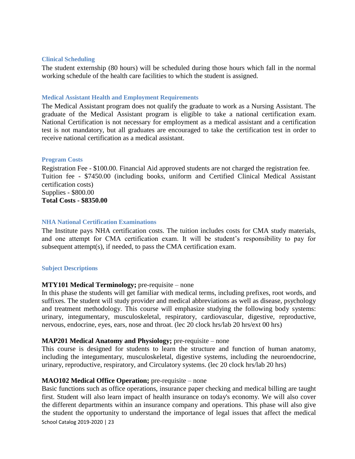#### <span id="page-22-0"></span>**Clinical Scheduling**

The student externship (80 hours) will be scheduled during those hours which fall in the normal working schedule of the health care facilities to which the student is assigned.

#### <span id="page-22-1"></span>**Medical Assistant Health and Employment Requirements**

The Medical Assistant program does not qualify the graduate to work as a Nursing Assistant. The graduate of the Medical Assistant program is eligible to take a national certification exam. National Certification is not necessary for employment as a medical assistant and a certification test is not mandatory, but all graduates are encouraged to take the certification test in order to receive national certification as a medical assistant.

#### <span id="page-22-2"></span>**Program Costs**

Registration Fee - \$100.00. Financial Aid approved students are not charged the registration fee. Tuition fee - \$7450.00 (including books, uniform and Certified Clinical Medical Assistant certification costs) Supplies - \$800.00 **Total Costs - \$8350.00**

#### <span id="page-22-3"></span>**NHA National Certification Examinations**

The Institute pays NHA certification costs. The tuition includes costs for CMA study materials, and one attempt for CMA certification exam. It will be student's responsibility to pay for subsequent attempt(s), if needed, to pass the CMA certification exam.

#### <span id="page-22-4"></span>**Subject Descriptions**

#### **MTY101 Medical Terminology;** pre-requisite – none

In this phase the students will get familiar with medical terms, including prefixes, root words, and suffixes. The student will study provider and medical abbreviations as well as disease, psychology and treatment methodology. This course will emphasize studying the following body systems: urinary, integumentary, musculoskeletal, respiratory, cardiovascular, digestive, reproductive, nervous, endocrine, eyes, ears, nose and throat. (lec 20 clock hrs/lab 20 hrs/ext 00 hrs)

#### **MAP201 Medical Anatomy and Physiology;** pre-requisite – none

This course is designed for students to learn the structure and function of human anatomy, including the integumentary, musculoskeletal, digestive systems, including the neuroendocrine, urinary, reproductive, respiratory, and Circulatory systems. (lec 20 clock hrs/lab 20 hrs)

#### **MAO102 Medical Office Operation;** pre-requisite – none

School Catalog 2019-2020 | 23 Basic functions such as office operations, insurance paper checking and medical billing are taught first. Student will also learn impact of health insurance on today's economy. We will also cover the different departments within an insurance company and operations. This phase will also give the student the opportunity to understand the importance of legal issues that affect the medical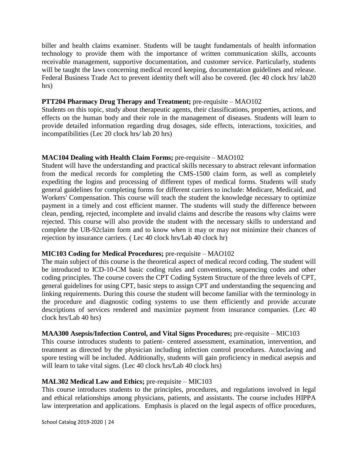biller and health claims examiner. Students will be taught fundamentals of health information technology to provide them with the importance of written communication skills, accounts receivable management, supportive documentation, and customer service. Particularly, students will be taught the laws concerning medical record keeping, documentation guidelines and release. Federal Business Trade Act to prevent identity theft will also be covered. (lec 40 clock hrs/ lab20 hrs)

#### **PTT204 Pharmacy Drug Therapy and Treatment;** pre-requisite – MAO102

Students on this topic, study about therapeutic agents, their classifications, properties, actions, and effects on the human body and their role in the management of diseases. Students will learn to provide detailed information regarding drug dosages, side effects, interactions, toxicities, and incompatibilities (Lec 20 clock hrs*/* lab 20 hrs)

#### **MAC104 Dealing with Health Claim Forms;** pre-requisite – MAO102

Student will have the understanding and practical skills necessary to abstract relevant information from the medical records for completing the CMS-1500 claim form, as well as completely expediting the logins and processing of different types of medical forms. Students will study general guidelines for completing forms for different carriers to include: Medicare, Medicaid, and Workers' Compensation. This course will teach the student the knowledge necessary to optimize payment in a timely and cost efficient manner. The students will study the difference between clean, pending, rejected, incomplete and invalid claims and describe the reasons why claims were rejected. This course will also provide the student with the necessary skills to understand and complete the UB-92claim form and to know when it may or may not minimize their chances of rejection by insurance carriers. ( Lec 40 clock hrs*/*Lab 40 clock hr)

#### **MIC103 Coding for Medical Procedures;** pre-requisite – MAO102

The main subject of this course is the theoretical aspect of medical record coding. The student will be introduced to ICD-10-CM basic coding rules and conventions, sequencing codes and other coding principles. The course covers the CPT Coding System Structure of the three levels of CPT, general guidelines for using CPT, basic steps to assign CPT and understanding the sequencing and linking requirements. During this course the student will become familiar with the terminology in the procedure and diagnostic coding systems to use them efficiently and provide accurate descriptions of services rendered and maximize payment from insurance companies. (Lec 40 clock hrs/Lab 40 hrs)

#### **MAA300 Asepsis/Infection Control, and Vital Signs Procedures;** pre-requisite – MIC103

This course introduces students to patient- centered assessment, examination, intervention, and treatment as directed by the physician including infection control procedures. Autoclaving and spore testing will be included. Additionally, students will gain proficiency in medical asepsis and will learn to take vital signs. (Lec 40 clock hrs*/*Lab 40 clock hrs)

#### **MAL302 Medical Law and Ethics;** pre-requisite – MIC103

This course introduces students to the principles, procedures, and regulations involved in legal and ethical relationships among physicians, patients, and assistants. The course includes HIPPA law interpretation and applications. Emphasis is placed on the legal aspects of office procedures,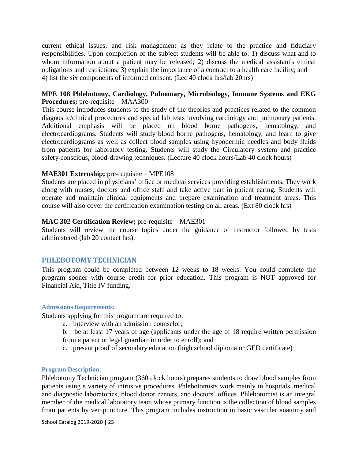current ethical issues, and risk management as they relate to the practice and fiduciary responsibilities. Upon completion of the subject students will be able to: 1) discuss what and to whom information about a patient may be released; 2) discuss the medical assistant's ethical obligations and restrictions; 3) explain the importance of a contract to a health care facility; and 4) list the six components of informed consent. (Lec 40 clock hrs/lab 20hrs)

#### **MPE 108 Phlebotomy, Cardiology, Pulmonary, Microbiology, Immune Systems and EKG Procedures;** pre-requisite – MAA300

This course introduces students to the study of the theories and practices related to the common diagnostic/clinical procedures and special lab tests involving cardiology and pulmonary patients. Additional emphasis will be placed on blood borne pathogens, hematology, and electrocardiograms. Students will study blood borne pathogens, hematology, and learn to give electrocardiograms as well as collect blood samples using hypodermic needles and body fluids from patients for laboratory testing. Students will study the Circulatory system and practice safety-conscious, blood-drawing techniques. (Lecture 40 clock hours/Lab 40 clock hours)

#### **MAE301 Externship;** pre-requisite – MPE108

Students are placed in physicians' office or medical services providing establishments. They work along with nurses, doctors and office staff and take active part in patient caring. Students will operate and maintain clinical equipments and prepare examination and treatment areas. This course will also cover the certification examination testing on all areas. (Ext 80 clock hrs)

#### **MAC 302 Certification Review;** pre-requisite – MAE301

Students will review the course topics under the guidance of instructor followed by tests administered (lab 20 contact hrs).

#### <span id="page-24-0"></span>**PHLEBOTOMY TECHNICIAN**

This program could be completed between 12 weeks to 18 weeks. You could complete the program sooner with course credit for prior education. This program is NOT approved for Financial Aid, Title IV funding.

#### <span id="page-24-1"></span>**Admissions Requirements:**

Students applying for this program are required to:

- a. interview with an admission counselor;
- b. be at least 17 years of age (applicants under the age of 18 require written permission from a parent or legal guardian in order to enroll); and
- c. present proof of secondary education (high school diploma or GED certificate)

#### <span id="page-24-2"></span>**Program Description:**

Phlebotomy Technician program (360 clock hours) prepares students to draw blood samples from patients using a variety of intrusive procedures. Phlebotomists work mainly in hospitals, medical and diagnostic laboratories, blood donor centers, and doctors' offices. Phlebotomist is an integral member of the medical laboratory team whose primary function is the collection of blood samples from patients by venipuncture. This program includes instruction in basic vascular anatomy and

School Catalog 2019-2020 | 25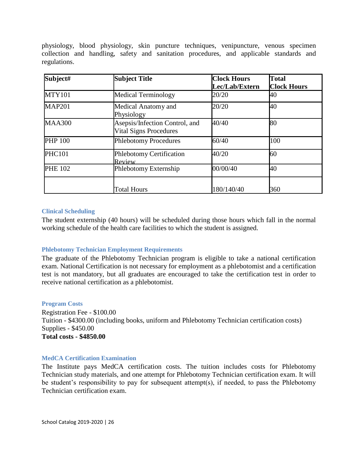physiology, blood physiology, skin puncture techniques, venipuncture, venous specimen collection and handling, safety and sanitation procedures, and applicable standards and regulations.

| Subject#       | <b>Subject Title</b>                                            | <b>Clock Hours</b><br>Lec/Lab/Extern | <b>Total</b><br><b>Clock Hours</b> |
|----------------|-----------------------------------------------------------------|--------------------------------------|------------------------------------|
| <b>MTY101</b>  | <b>Medical Terminology</b>                                      | 20/20                                | 40                                 |
| <b>MAP201</b>  | <b>Medical Anatomy and</b><br>Physiology                        | 20/20                                | 40                                 |
| <b>MAA300</b>  | Asepsis/Infection Control, and<br><b>Vital Signs Procedures</b> | 40/40                                | 80                                 |
| <b>PHP 100</b> | <b>Phlebotomy Procedures</b>                                    | 60/40                                | 100                                |
| <b>PHC101</b>  | <b>Phlebotomy Certification</b><br>Review                       | 40/20                                | 60                                 |
| <b>PHE 102</b> | Phlebotomy Externship                                           | 00/00/40                             | 40                                 |
|                | <b>Total Hours</b>                                              | 180/140/40                           | 360                                |

#### <span id="page-25-0"></span>**Clinical Scheduling**

The student externship (40 hours) will be scheduled during those hours which fall in the normal working schedule of the health care facilities to which the student is assigned.

#### <span id="page-25-1"></span>**Phlebotomy Technician Employment Requirements**

The graduate of the Phlebotomy Technician program is eligible to take a national certification exam. National Certification is not necessary for employment as a phlebotomist and a certification test is not mandatory, but all graduates are encouraged to take the certification test in order to receive national certification as a phlebotomist.

#### <span id="page-25-2"></span>**Program Costs**

Registration Fee - \$100.00 Tuition - \$4300.00 (including books, uniform and Phlebotomy Technician certification costs) Supplies - \$450.00 **Total costs - \$4850.00**

#### <span id="page-25-3"></span>**MedCA Certification Examination**

The Institute pays MedCA certification costs. The tuition includes costs for Phlebotomy Technician study materials, and one attempt for Phlebotomy Technician certification exam. It will be student's responsibility to pay for subsequent attempt(s), if needed, to pass the Phlebotomy Technician certification exam.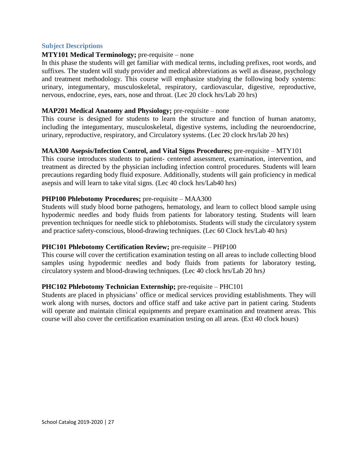#### <span id="page-26-0"></span>**Subject Descriptions**

#### **MTY101 Medical Terminology;** pre-requisite – none

In this phase the students will get familiar with medical terms, including prefixes, root words, and suffixes. The student will study provider and medical abbreviations as well as disease, psychology and treatment methodology. This course will emphasize studying the following body systems: urinary, integumentary, musculoskeletal, respiratory, cardiovascular, digestive, reproductive, nervous, endocrine, eyes, ears, nose and throat. (Lec 20 clock hrs/Lab 20 hrs)

#### **MAP201 Medical Anatomy and Physiology;** pre-requisite – none

This course is designed for students to learn the structure and function of human anatomy, including the integumentary, musculoskeletal, digestive systems, including the neuroendocrine, urinary, reproductive, respiratory, and Circulatory systems. (Lec 20 clock hrs/lab 20 hrs)

#### **MAA300 Asepsis/Infection Control, and Vital Signs Procedures;** pre-requisite – MTY101

This course introduces students to patient- centered assessment, examination, intervention, and treatment as directed by the physician including infection control procedures. Students will learn precautions regarding body fluid exposure. Additionally, students will gain proficiency in medical asepsis and will learn to take vital signs. (Lec 40 clock hrs/Lab40 hrs)

#### **PHP100 Phlebotomy Procedures;** pre-requisite – MAA300

Students will study blood borne pathogens, hematology, and learn to collect blood sample using hypodermic needles and body fluids from patients for laboratory testing. Students will learn prevention techniques for needle stick to phlebotomists. Students will study the circulatory system and practice safety-conscious, blood-drawing techniques. (Lec 60 Clock hrs/Lab 40 hrs)

#### **PHC101 Phlebotomy Certification Review;** pre-requisite – PHP100

This course will cover the certification examination testing on all areas to include collecting blood samples using hypodermic needles and body fluids from patients for laboratory testing, circulatory system and blood-drawing techniques. (Lec 40 clock hrs/Lab 20 hrs*)*

#### **PHC102 Phlebotomy Technician Externship;** pre-requisite – PHC101

Students are placed in physicians' office or medical services providing establishments. They will work along with nurses, doctors and office staff and take active part in patient caring. Students will operate and maintain clinical equipments and prepare examination and treatment areas. This course will also cover the certification examination testing on all areas. (Ext 40 clock hours)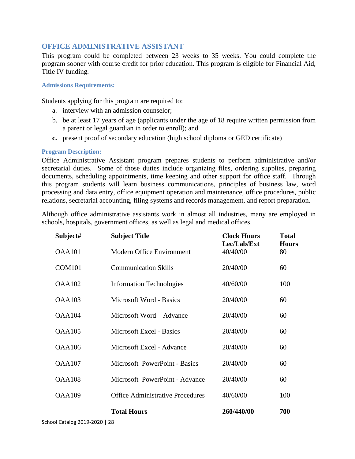## <span id="page-27-0"></span>**OFFICE ADMINISTRATIVE ASSISTANT**

This program could be completed between 23 weeks to 35 weeks. You could complete the program sooner with course credit for prior education. This program is eligible for Financial Aid, Title IV funding.

#### <span id="page-27-1"></span>**Admissions Requirements:**

Students applying for this program are required to:

- a. interview with an admission counselor;
- b. be at least 17 years of age (applicants under the age of 18 require written permission from a parent or legal guardian in order to enroll); and
- **c.** present proof of secondary education (high school diploma or GED certificate)

#### <span id="page-27-2"></span>**Program Description:**

Office Administrative Assistant program prepares students to perform administrative and/or secretarial duties. Some of those duties include organizing files, ordering supplies, preparing documents, scheduling appointments, time keeping and other support for office staff. Through this program students will learn business communications, principles of business law, word processing and data entry, office equipment operation and maintenance, office procedures, public relations, secretarial accounting, filing systems and records management, and report preparation.

Although office administrative assistants work in almost all industries, many are employed in schools, hospitals, government offices, as well as legal and medical offices.

| Subject#           | <b>Subject Title</b>                    | <b>Clock Hours</b><br>Lec/Lab/Ext | <b>Total</b><br><b>Hours</b> |
|--------------------|-----------------------------------------|-----------------------------------|------------------------------|
| <b>OAA101</b>      | <b>Modern Office Environment</b>        | 40/40/00                          | 80                           |
| COM <sub>101</sub> | <b>Communication Skills</b>             | 20/40/00                          | 60                           |
| <b>OAA102</b>      | <b>Information Technologies</b>         | 40/60/00                          | 100                          |
| <b>OAA103</b>      | Microsoft Word - Basics                 | 20/40/00                          | 60                           |
| <b>OAA104</b>      | Microsoft Word – Advance                | 20/40/00                          | 60                           |
| <b>OAA105</b>      | <b>Microsoft Excel - Basics</b>         | 20/40/00                          | 60                           |
| <b>OAA106</b>      | Microsoft Excel - Advance               | 20/40/00                          | 60                           |
| <b>OAA107</b>      | Microsoft PowerPoint - Basics           | 20/40/00                          | 60                           |
| <b>OAA108</b>      | Microsoft PowerPoint - Advance          | 20/40/00                          | 60                           |
| <b>OAA109</b>      | <b>Office Administrative Procedures</b> | 40/60/00                          | 100                          |
|                    | <b>Total Hours</b>                      | 260/440/00                        | 700                          |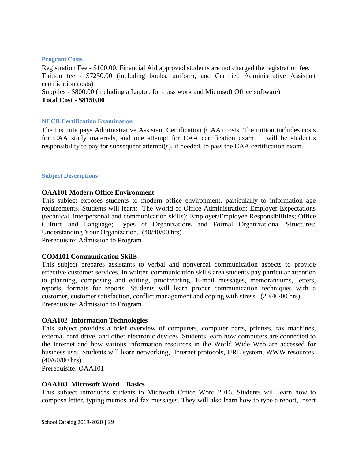#### <span id="page-28-0"></span>**Program Costs**

Registration Fee - \$100.00. Financial Aid approved students are not charged the registration fee. Tuition fee - \$7250.00 (including books, uniform, and Certified Administrative Assistant certification costs) Supplies - \$800.00 (including a Laptop for class work and Microsoft Office software)

**Total Cost - \$8150.00**

#### <span id="page-28-1"></span>**NCCB Certification Examination**

The Institute pays Administrative Assistant Certification (CAA) costs. The tuition includes costs for CAA study materials, and one attempt for CAA certification exam. It will be student's responsibility to pay for subsequent attempt(s), if needed, to pass the CAA certification exam.

#### <span id="page-28-2"></span>**Subject Descriptions**

#### **OAA101 Modern Office Environment**

This subject exposes students to modern office environment, particularly to information age requirements. Students will learn: The World of Office Administration; Employer Expectations (technical, interpersonal and communication skills); Employer/Employee Responsibilities; Office Culture and Language; Types of Organizations and Formal Organizational Structures; Understanding Your Organization. (40/40/00 hrs)

Prerequisite: Admission to Program

#### **COM101 Communication Skills**

This subject prepares assistants to verbal and nonverbal communication aspects to provide effective customer services. In written communication skills area students pay particular attention to planning, composing and editing, proofreading, E-mail messages, memorandums, letters, reports, formats for reports. Students will learn proper communication techniques with a customer, customer satisfaction, conflict management and coping with stress. (20/40/00 hrs) Prerequisite: Admission to Program

#### **OAA102 Information Technologies**

This subject provides a brief overview of computers, computer parts, printers, fax machines, external hard drive, and other electronic devices. Students learn how computers are connected to the Internet and how various information resources in the World Wide Web are accessed for business use. Students will learn networking, Internet protocols, URL system, WWW resources. (40/60/00 hrs)

Prerequisite: OAA101

#### **OAA103 Microsoft Word – Basics**

This subject introduces students to Microsoft Office Word 2016. Students will learn how to compose letter, typing memos and fax messages. They will also learn how to type a report, insert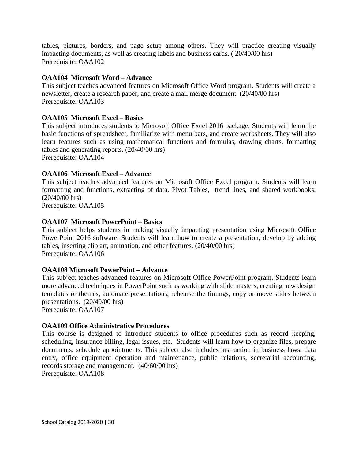tables, pictures, borders, and page setup among others. They will practice creating visually impacting documents, as well as creating labels and business cards. ( 20/40/00 hrs) Prerequisite: OAA102

### **OAA104 Microsoft Word – Advance**

This subject teaches advanced features on Microsoft Office Word program. Students will create a newsletter, create a research paper, and create a mail merge document. (20/40/00 hrs) Prerequisite: OAA103

#### **OAA105 Microsoft Excel – Basics**

This subject introduces students to Microsoft Office Excel 2016 package. Students will learn the basic functions of spreadsheet, familiarize with menu bars, and create worksheets. They will also learn features such as using mathematical functions and formulas, drawing charts, formatting tables and generating reports. (20/40/00 hrs) Prerequisite: OAA104

**OAA106 Microsoft Excel – Advance**

This subject teaches advanced features on Microsoft Office Excel program. Students will learn formatting and functions, extracting of data, Pivot Tables, trend lines, and shared workbooks. (20/40/00 hrs)

Prerequisite: OAA105

#### **OAA107 Microsoft PowerPoint – Basics**

This subject helps students in making visually impacting presentation using Microsoft Office PowerPoint 2016 software. Students will learn how to create a presentation, develop by adding tables, inserting clip art, animation, and other features. (20/40/00 hrs) Prerequisite: OAA106

#### **OAA108 Microsoft PowerPoint – Advance**

This subject teaches advanced features on Microsoft Office PowerPoint program. Students learn more advanced techniques in PowerPoint such as working with slide masters, creating new design templates or themes, automate presentations, rehearse the timings, copy or move slides between presentations. (20/40/00 hrs)

Prerequisite: OAA107

#### **OAA109 Office Administrative Procedures**

This course is designed to introduce students to office procedures such as record keeping, scheduling, insurance billing, legal issues, etc. Students will learn how to organize files, prepare documents, schedule appointments. This subject also includes instruction in business laws, data entry, office equipment operation and maintenance, public relations, secretarial accounting, records storage and management. (40/60/00 hrs) Prerequisite: OAA108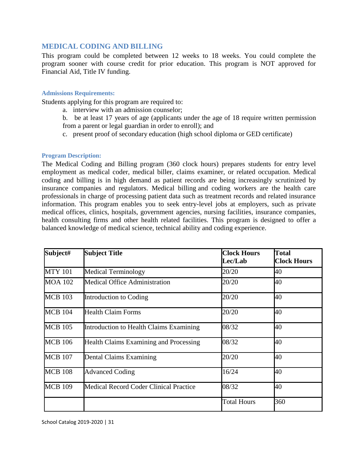## <span id="page-30-0"></span>**MEDICAL CODING AND BILLING**

This program could be completed between 12 weeks to 18 weeks. You could complete the program sooner with course credit for prior education. This program is NOT approved for Financial Aid, Title IV funding.

#### <span id="page-30-1"></span>**Admissions Requirements:**

Students applying for this program are required to:

- a. interview with an admission counselor;
- b. be at least 17 years of age (applicants under the age of 18 require written permission from a parent or legal guardian in order to enroll); and
- c. present proof of secondary education (high school diploma or GED certificate)

#### <span id="page-30-2"></span>**Program Description:**

The Medical Coding and Billing program (360 clock hours) prepares students for entry level employment as medical coder, medical biller, claims examiner, or related occupation. Medical coding and billing is in high demand as patient records are being increasingly scrutinized by insurance companies and regulators. Medical billing and coding workers are the health care professionals in charge of processing patient data such as treatment records and related insurance information. This program enables you to seek entry-level jobs at employers, such as private medical offices, clinics, hospitals, government agencies, nursing facilities, insurance companies, health consulting firms and other health related facilities. This program is designed to offer a balanced knowledge of medical science, technical ability and coding experience.

| Subject#       | <b>Subject Title</b>                    | <b>Clock Hours</b><br>Lec/Lab | <b>Total</b><br><b>Clock Hours</b> |
|----------------|-----------------------------------------|-------------------------------|------------------------------------|
| <b>MTY 101</b> | <b>Medical Terminology</b>              | 20/20                         | 40                                 |
| <b>MOA 102</b> | <b>Medical Office Administration</b>    | 20/20                         | 40                                 |
| <b>MCB</b> 103 | Introduction to Coding                  | 20/20                         | 40                                 |
| <b>MCB 104</b> | <b>Health Claim Forms</b>               | 20/20                         | 40                                 |
| <b>MCB 105</b> | Introduction to Health Claims Examining | 08/32                         | 40                                 |
| <b>MCB</b> 106 | Health Claims Examining and Processing  | 08/32                         | 40                                 |
| <b>MCB</b> 107 | Dental Claims Examining                 | 20/20                         | 40                                 |
| <b>MCB 108</b> | <b>Advanced Coding</b>                  | 16/24                         | 40                                 |
| <b>MCB 109</b> | Medical Record Coder Clinical Practice  | 08/32                         | 40                                 |
|                |                                         | <b>Total Hours</b>            | 360                                |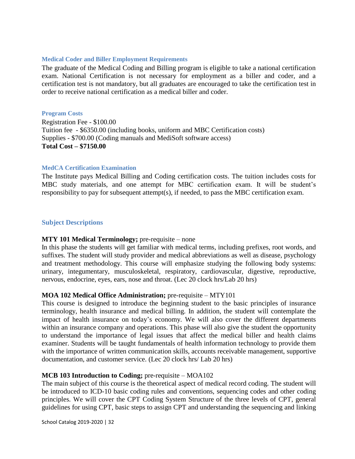#### <span id="page-31-0"></span>**Medical Coder and Biller Employment Requirements**

The graduate of the Medical Coding and Billing program is eligible to take a national certification exam. National Certification is not necessary for employment as a biller and coder, and a certification test is not mandatory, but all graduates are encouraged to take the certification test in order to receive national certification as a medical biller and coder.

#### <span id="page-31-1"></span>**Program Costs**

Registration Fee - \$100.00 Tuition fee - \$6350.00 (including books, uniform and MBC Certification costs) Supplies - \$700.00 (Coding manuals and MediSoft software access) **Total Cost – \$7150.00**

#### <span id="page-31-2"></span>**MedCA Certification Examination**

The Institute pays Medical Billing and Coding certification costs. The tuition includes costs for MBC study materials, and one attempt for MBC certification exam. It will be student's responsibility to pay for subsequent attempt(s), if needed, to pass the MBC certification exam.

#### <span id="page-31-3"></span>**Subject Descriptions**

#### **MTY 101 Medical Terminology;** pre-requisite – none

In this phase the students will get familiar with medical terms, including prefixes, root words, and suffixes. The student will study provider and medical abbreviations as well as disease, psychology and treatment methodology. This course will emphasize studying the following body systems: urinary, integumentary, musculoskeletal, respiratory, cardiovascular, digestive, reproductive, nervous, endocrine, eyes, ears, nose and throat. (Lec 20 clock hrs/Lab 20 hrs)

#### **MOA 102 Medical Office Administration;** pre-requisite – MTY101

This course is designed to introduce the beginning student to the basic principles of insurance terminology, health insurance and medical billing. In addition, the student will contemplate the impact of health insurance on today's economy. We will also cover the different departments within an insurance company and operations. This phase will also give the student the opportunity to understand the importance of legal issues that affect the medical biller and health claims examiner. Students will be taught fundamentals of health information technology to provide them with the importance of written communication skills, accounts receivable management, supportive documentation, and customer service. (Lec 20 clock hrs/ Lab 20 hrs)

#### **MCB 103 Introduction to Coding;** pre-requisite – MOA102

The main subject of this course is the theoretical aspect of medical record coding. The student will be introduced to ICD-10 basic coding rules and conventions, sequencing codes and other coding principles. We will cover the CPT Coding System Structure of the three levels of CPT, general guidelines for using CPT, basic steps to assign CPT and understanding the sequencing and linking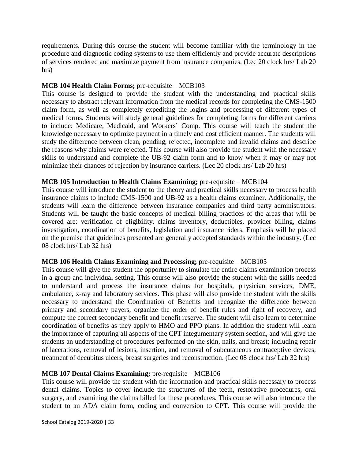requirements. During this course the student will become familiar with the terminology in the procedure and diagnostic coding systems to use them efficiently and provide accurate descriptions of services rendered and maximize payment from insurance companies. (Lec 20 clock hrs/ Lab 20 hrs)

#### **MCB 104 Health Claim Forms;** pre-requisite – MCB103

This course is designed to provide the student with the understanding and practical skills necessary to abstract relevant information from the medical records for completing the CMS-1500 claim form, as well as completely expediting the logins and processing of different types of medical forms. Students will study general guidelines for completing forms for different carriers to include: Medicare, Medicaid, and Workers' Comp. This course will teach the student the knowledge necessary to optimize payment in a timely and cost efficient manner. The students will study the difference between clean, pending, rejected, incomplete and invalid claims and describe the reasons why claims were rejected. This course will also provide the student with the necessary skills to understand and complete the UB-92 claim form and to know when it may or may not minimize their chances of rejection by insurance carriers. (Lec 20 clock hrs/ Lab 20 hrs)

#### **MCB 105 Introduction to Health Claims Examining;** pre-requisite – MCB104

This course will introduce the student to the theory and practical skills necessary to process health insurance claims to include CMS-1500 and UB-92 as a health claims examiner. Additionally, the students will learn the difference between insurance companies and third party administrators. Students will be taught the basic concepts of medical billing practices of the areas that will be covered are: verification of eligibility, claims inventory, deductibles, provider billing, claims investigation, coordination of benefits, legislation and insurance riders. Emphasis will be placed on the premise that guidelines presented are generally accepted standards within the industry. (Lec 08 clock hrs/ Lab 32 hrs)

#### **MCB 106 Health Claims Examining and Processing;** pre-requisite – MCB105

This course will give the student the opportunity to simulate the entire claims examination process in a group and individual setting. This course will also provide the student with the skills needed to understand and process the insurance claims for hospitals, physician services, DME, ambulance, x-ray and laboratory services. This phase will also provide the student with the skills necessary to understand the Coordination of Benefits and recognize the difference between primary and secondary payers, organize the order of benefit rules and right of recovery, and compute the correct secondary benefit and benefit reserve. The student will also learn to determine coordination of benefits as they apply to HMO and PPO plans. In addition the student will learn the importance of capturing all aspects of the CPT integumentary system section, and will give the students an understanding of procedures performed on the skin, nails, and breast; including repair of lacerations, removal of lesions, insertion, and removal of subcutaneous contraceptive devices, treatment of decubitus ulcers, breast surgeries and reconstruction. (Lec 08 clock hrs/ Lab 32 hrs)

#### **MCB 107 Dental Claims Examining;** pre-requisite – MCB106

This course will provide the student with the information and practical skills necessary to process dental claims. Topics to cover include the structures of the teeth, restorative procedures, oral surgery, and examining the claims billed for these procedures. This course will also introduce the student to an ADA claim form, coding and conversion to CPT. This course will provide the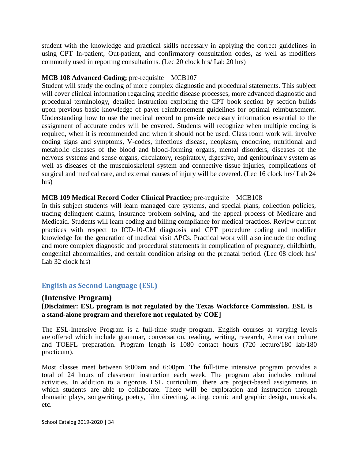student with the knowledge and practical skills necessary in applying the correct guidelines in using CPT In-patient, Out-patient, and confirmatory consultation codes, as well as modifiers commonly used in reporting consultations. (Lec 20 clock hrs/ Lab 20 hrs)

#### **MCB 108 Advanced Coding;** pre-requisite – MCB107

Student will study the coding of more complex diagnostic and procedural statements. This subject will cover clinical information regarding specific disease processes, more advanced diagnostic and procedural terminology, detailed instruction exploring the CPT book section by section builds upon previous basic knowledge of payer reimbursement guidelines for optimal reimbursement. Understanding how to use the medical record to provide necessary information essential to the assignment of accurate codes will be covered. Students will recognize when multiple coding is required, when it is recommended and when it should not be used. Class room work will involve coding signs and symptoms, V-codes, infectious disease, neoplasm, endocrine, nutritional and metabolic diseases of the blood and blood-forming organs, mental disorders, diseases of the nervous systems and sense organs, circulatory, respiratory, digestive, and genitourinary system as well as diseases of the musculoskeletal system and connective tissue injuries, complications of surgical and medical care, and external causes of injury will be covered. (Lec 16 clock hrs/ Lab 24 hrs)

#### **MCB 109 Medical Record Coder Clinical Practice;** pre-requisite – MCB108

In this subject students will learn managed care systems, and special plans, collection policies, tracing delinquent claims, insurance problem solving, and the appeal process of Medicare and Medicaid. Students will learn coding and billing compliance for medical practices. Review current practices with respect to ICD-10-CM diagnosis and CPT procedure coding and modifier knowledge for the generation of medical visit APCs. Practical work will also include the coding and more complex diagnostic and procedural statements in complication of pregnancy, childbirth, congenital abnormalities, and certain condition arising on the prenatal period. (Lec 08 clock hrs/ Lab 32 clock hrs)

## <span id="page-33-0"></span>**English as Second Language (ESL)**

#### **(Intensive Program)**

## **[Disclaimer: ESL program is not regulated by the Texas Workforce Commission. ESL is a stand-alone program and therefore not regulated by COE]**

The ESL-Intensive Program is a full-time study program. English courses at varying levels are offered which include grammar, conversation, reading, writing, research, American culture and TOEFL preparation. Program length is 1080 contact hours (720 lecture/180 lab/180 practicum).

Most classes meet between 9:00am and 6:00pm. The full-time intensive program provides a total of 24 hours of classroom instruction each week. The program also includes cultural activities. In addition to a rigorous ESL curriculum, there are project-based assignments in which students are able to collaborate. There will be exploration and instruction through dramatic plays, songwriting, poetry, film directing, acting, comic and graphic design, musicals, etc.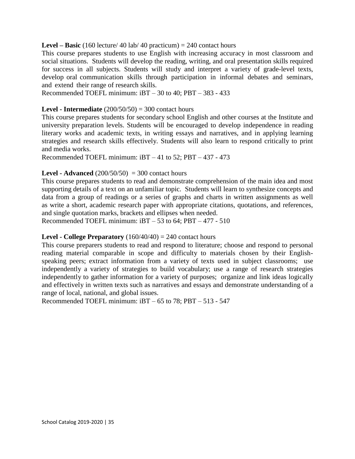#### **Level – Basic** (160 lecture/ 40 lab/ 40 practicum) = 240 contact hours

This course prepares students to use English with increasing accuracy in most classroom and social situations. Students will develop the reading, writing, and oral presentation skills required for success in all subjects. Students will study and interpret a variety of grade-level texts, develop oral communication skills through participation in informal debates and seminars, and extend their range of research skills.

Recommended TOEFL minimum: iBT – 30 to 40; PBT – 383 - 433

#### **Level - Intermediate**  $(200/50/50) = 300$  contact hours

This course prepares students for secondary school English and other courses at the Institute and university preparation levels. Students will be encouraged to develop independence in reading literary works and academic texts, in writing essays and narratives, and in applying learning strategies and research skills effectively. Students will also learn to respond critically to print and media works.

Recommended TOEFL minimum:  $iBT - 41$  to 52; PBT  $- 437 - 473$ 

#### **Level - Advanced** (200/50/50) = 300 contact hours

This course prepares students to read and demonstrate comprehension of the main idea and most supporting details of a text on an unfamiliar topic. Students will learn to synthesize concepts and data from a group of readings or a series of graphs and charts in written assignments as well as write a short, academic research paper with appropriate citations, quotations, and references, and single quotation marks, brackets and ellipses when needed.

Recommended TOEFL minimum: iBT – 53 to 64; PBT – 477 - 510

#### **Level - College Preparatory**  $(160/40/40) = 240$  contact hours

This course preparers students to read and respond to literature; choose and respond to personal reading material comparable in scope and difficulty to materials chosen by their Englishspeaking peers; extract information from a variety of texts used in subject classrooms; use independently a variety of strategies to build vocabulary; use a range of research strategies independently to gather information for a variety of purposes; organize and link ideas logically and effectively in written texts such as narratives and essays and demonstrate understanding of a range of local, national, and global issues.

Recommended TOEFL minimum: iBT – 65 to 78; PBT – 513 - 547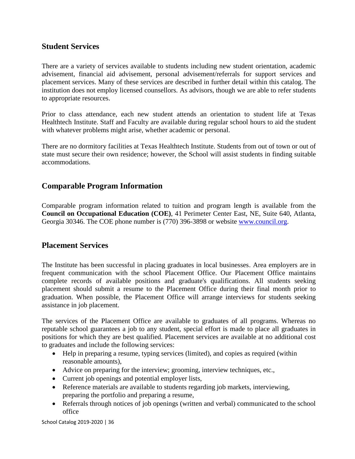## <span id="page-35-0"></span>**Student Services**

There are a variety of services available to students including new student orientation, academic advisement, financial aid advisement, personal advisement/referrals for support services and placement services. Many of these services are described in further detail within this catalog. The institution does not employ licensed counsellors. As advisors, though we are able to refer students to appropriate resources.

Prior to class attendance, each new student attends an orientation to student life at Texas Healthtech Institute. Staff and Faculty are available during regular school hours to aid the student with whatever problems might arise, whether academic or personal.

There are no dormitory facilities at Texas Healthtech Institute. Students from out of town or out of state must secure their own residence; however, the School will assist students in finding suitable accommodations.

## <span id="page-35-1"></span>**Comparable Program Information**

Comparable program information related to tuition and program length is available from the **Council on Occupational Education (COE)**, 41 Perimeter Center East, NE, Suite 640, Atlanta, Georgia 30346. The COE phone number is (770) 396-3898 or website [www.council.org.](http://www.council.org/)

## <span id="page-35-2"></span>**Placement Services**

The Institute has been successful in placing graduates in local businesses. Area employers are in frequent communication with the school Placement Office. Our Placement Office maintains complete records of available positions and graduate's qualifications. All students seeking placement should submit a resume to the Placement Office during their final month prior to graduation. When possible, the Placement Office will arrange interviews for students seeking assistance in job placement.

The services of the Placement Office are available to graduates of all programs. Whereas no reputable school guarantees a job to any student, special effort is made to place all graduates in positions for which they are best qualified. Placement services are available at no additional cost to graduates and include the following services:

- Help in preparing a resume, typing services (limited), and copies as required (within reasonable amounts),
- Advice on preparing for the interview; grooming, interview techniques, etc.,
- Current job openings and potential employer lists,
- Reference materials are available to students regarding job markets, interviewing, preparing the portfolio and preparing a resume,
- Referrals through notices of job openings (written and verbal) communicated to the school office

School Catalog 2019-2020 | 36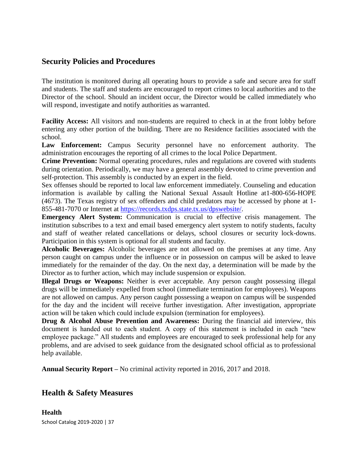## <span id="page-36-0"></span>**Security Policies and Procedures**

The institution is monitored during all operating hours to provide a safe and secure area for staff and students. The staff and students are encouraged to report crimes to local authorities and to the Director of the school. Should an incident occur, the Director would be called immediately who will respond, investigate and notify authorities as warranted.

**Facility Access:** All visitors and non-students are required to check in at the front lobby before entering any other portion of the building. There are no Residence facilities associated with the school.

**Law Enforcement:** Campus Security personnel have no enforcement authority. The administration encourages the reporting of all crimes to the local Police Department.

**Crime Prevention:** Normal operating procedures, rules and regulations are covered with students during orientation. Periodically, we may have a general assembly devoted to crime prevention and self-protection. This assembly is conducted by an expert in the field.

Sex offenses should be reported to local law enforcement immediately. Counseling and education information is available by calling the National Sexual Assault Hotline at1-800-656-HOPE (4673). The Texas registry of sex offenders and child predators may be accessed by phone at 1- 855-481-7070 or Internet at [https://records.txdps.state.tx.us/dpswebsite/.](https://records.txdps.state.tx.us/dpswebsite/)

**Emergency Alert System:** Communication is crucial to effective crisis management. The institution subscribes to a text and email based emergency alert system to notify students, faculty and staff of weather related cancellations or delays, school closures or security lock-downs. Participation in this system is optional for all students and faculty.

**Alcoholic Beverages:** Alcoholic beverages are not allowed on the premises at any time. Any person caught on campus under the influence or in possession on campus will be asked to leave immediately for the remainder of the day. On the next day, a determination will be made by the Director as to further action, which may include suspension or expulsion.

**Illegal Drugs or Weapons:** Neither is ever acceptable. Any person caught possessing illegal drugs will be immediately expelled from school (immediate termination for employees). Weapons are not allowed on campus. Any person caught possessing a weapon on campus will be suspended for the day and the incident will receive further investigation. After investigation, appropriate action will be taken which could include expulsion (termination for employees).

**Drug & Alcohol Abuse Prevention and Awareness:** During the financial aid interview, this document is handed out to each student. A copy of this statement is included in each "new employee package." All students and employees are encouraged to seek professional help for any problems, and are advised to seek guidance from the designated school official as to professional help available.

**Annual Security Report –** No criminal activity reported in 2016, 2017 and 2018.

## <span id="page-36-1"></span>**Health & Safety Measures**

School Catalog 2019-2020 | 37 **Health**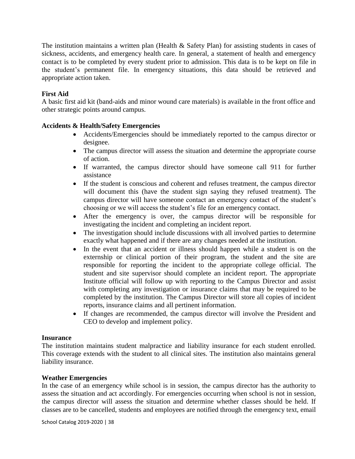The institution maintains a written plan (Health & Safety Plan) for assisting students in cases of sickness, accidents, and emergency health care. In general, a statement of health and emergency contact is to be completed by every student prior to admission. This data is to be kept on file in the student's permanent file. In emergency situations, this data should be retrieved and appropriate action taken.

## **First Aid**

A basic first aid kit (band-aids and minor wound care materials) is available in the front office and other strategic points around campus.

## **Accidents & Health/Safety Emergencies**

- Accidents/Emergencies should be immediately reported to the campus director or designee.
- The campus director will assess the situation and determine the appropriate course of action.
- If warranted, the campus director should have someone call 911 for further assistance
- If the student is conscious and coherent and refuses treatment, the campus director will document this (have the student sign saying they refused treatment). The campus director will have someone contact an emergency contact of the student's choosing or we will access the student's file for an emergency contact.
- After the emergency is over, the campus director will be responsible for investigating the incident and completing an incident report.
- The investigation should include discussions with all involved parties to determine exactly what happened and if there are any changes needed at the institution.
- In the event that an accident or illness should happen while a student is on the externship or clinical portion of their program, the student and the site are responsible for reporting the incident to the appropriate college official. The student and site supervisor should complete an incident report. The appropriate Institute official will follow up with reporting to the Campus Director and assist with completing any investigation or insurance claims that may be required to be completed by the institution. The Campus Director will store all copies of incident reports, insurance claims and all pertinent information.
- If changes are recommended, the campus director will involve the President and CEO to develop and implement policy.

## **Insurance**

The institution maintains student malpractice and liability insurance for each student enrolled. This coverage extends with the student to all clinical sites. The institution also maintains general liability insurance.

## **Weather Emergencies**

In the case of an emergency while school is in session, the campus director has the authority to assess the situation and act accordingly. For emergencies occurring when school is not in session, the campus director will assess the situation and determine whether classes should be held. If classes are to be cancelled, students and employees are notified through the emergency text, email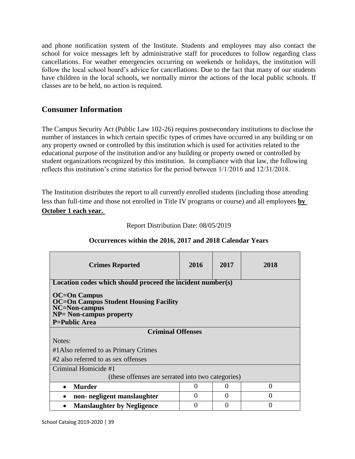and phone notification system of the Institute. Students and employees may also contact the school for voice messages left by administrative staff for procedures to follow regarding class cancellations. For weather emergencies occurring on weekends or holidays, the institution will follow the local school board's advice for cancellations. Due to the fact that many of our students have children in the local schools, we normally mirror the actions of the local public schools. If classes are to be held, no action is required.

## <span id="page-38-0"></span>**Consumer Information**

The Campus Security Act (Public Law 102-26) requires postsecondary institutions to disclose the number of instances in which certain specific types of crimes have occurred in any building or on any property owned or controlled by this institution which is used for activities related to the educational purpose of the institution and/or any building or property owned or controlled by student organizations recognized by this institution. In compliance with that law, the following reflects this institution's crime statistics for the period between 1/1/2016 and 12/31/2018.

The Institution distributes the report to all currently enrolled students (including those attending less than full-time and those not enrolled in Title IV programs or course) and all employees **by October 1 each year.** 

Report Distribution Date: 08/05/2019

| <b>Crimes Reported</b>                                                                                                                         | 2016              | 2017              | 2018 |
|------------------------------------------------------------------------------------------------------------------------------------------------|-------------------|-------------------|------|
| Location codes which should proceed the incident number(s)                                                                                     |                   |                   |      |
| <b>OC=On Campus</b><br><b>OC=On Campus Student Housing Facility</b><br>NC=Non-campus<br><b>NP=</b> Non-campus property<br><b>P=Public Area</b> |                   |                   |      |
| <b>Criminal Offenses</b>                                                                                                                       |                   |                   |      |
| Notes:                                                                                                                                         |                   |                   |      |
| #1 Also referred to as Primary Crimes                                                                                                          |                   |                   |      |
| #2 also referred to as sex offenses                                                                                                            |                   |                   |      |
| Criminal Homicide #1                                                                                                                           |                   |                   |      |
| (these offenses are serrated into two categories)                                                                                              |                   |                   |      |
| <b>Murder</b>                                                                                                                                  | $\mathbf{\Omega}$ | $\mathbf{\Omega}$ | 0    |
| non- negligent manslaughter                                                                                                                    | 0                 | $\Omega$          | 0    |
| <b>Manslaughter by Negligence</b>                                                                                                              |                   |                   | 0    |

## **Occurrences within the 2016, 2017 and 2018 Calendar Years**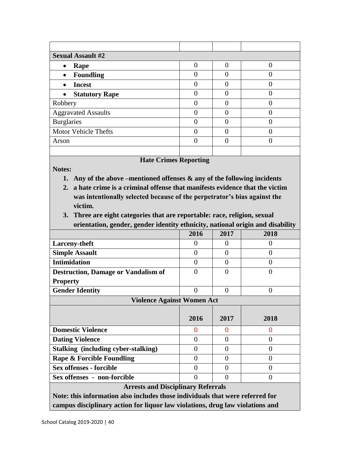| <b>Sexual Assault #2</b>           |   |  |
|------------------------------------|---|--|
| Rape<br>$\bullet$                  | ∩ |  |
| <b>Foundling</b><br>$\bullet$      |   |  |
| <b>Incest</b><br>$\bullet$         |   |  |
| <b>Statutory Rape</b><br>$\bullet$ |   |  |
| Robbery                            |   |  |
| <b>Aggravated Assaults</b>         |   |  |
| <b>Burglaries</b>                  |   |  |
| <b>Motor Vehicle Thefts</b>        |   |  |
| Arson                              |   |  |
|                                    |   |  |

## **Hate Crimes Reporting**

**Notes:**

- **1. Any of the above –mentioned offenses & any of the following incidents**
- **2. a hate crime is a criminal offense that manifests evidence that the victim was intentionally selected because of the perpetrator's bias against the victim.**
- **3. Three are eight categories that are reportable: race, religion, sexual orientation, gender, gender identity ethnicity, national origin and disability**

|                                                                               | 2016           | 2017     | 2018           |
|-------------------------------------------------------------------------------|----------------|----------|----------------|
| Larceny-theft                                                                 | $\theta$       | $\theta$ | $\theta$       |
| <b>Simple Assault</b>                                                         | $\overline{0}$ | $\Omega$ | $\theta$       |
| <b>Intimidation</b>                                                           | $\overline{0}$ | $\Omega$ | $\theta$       |
| <b>Destruction, Damage or Vandalism of</b>                                    | $\Omega$       | 0        | $\Omega$       |
| <b>Property</b>                                                               |                |          |                |
| <b>Gender Identity</b>                                                        | $\Omega$       | $\theta$ | $\theta$       |
| <b>Violence Against Women Act</b>                                             |                |          |                |
|                                                                               |                |          |                |
|                                                                               | 2016           | 2017     | 2018           |
| <b>Domestic Violence</b>                                                      | $\overline{0}$ | $\Omega$ | 0              |
| <b>Dating Violence</b>                                                        | $\overline{0}$ | $\Omega$ | $\theta$       |
| <b>Stalking (including cyber-stalking)</b>                                    | 0              | $\Omega$ | $\overline{0}$ |
| <b>Rape &amp; Forcible Foundling</b>                                          | 0              | 0        | $\overline{0}$ |
| <b>Sex offenses - forcible</b>                                                | 0              | $\Omega$ | 0              |
| Sex offenses - non-forcible                                                   | 0              | ∩        | $\theta$       |
| <b>Arrests and Disciplinary Referrals</b>                                     |                |          |                |
| Note: this information also includes those individuals that were referred for |                |          |                |
| campus disciplinary action for liquor law violations, drug law violations and |                |          |                |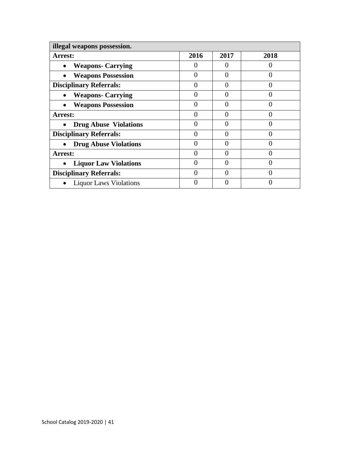| illegal weapons possession.    |                   |          |               |
|--------------------------------|-------------------|----------|---------------|
| Arrest:                        | 2016              | 2017     | 2018          |
| <b>Weapons- Carrying</b>       |                   |          |               |
| <b>Weapons Possession</b>      |                   |          |               |
| <b>Disciplinary Referrals:</b> | $\mathbf{\Omega}$ | $\theta$ | $\mathcal{O}$ |
| <b>Weapons- Carrying</b>       |                   |          |               |
| <b>Weapons Possession</b>      | 0                 | 0        |               |
| Arrest:                        |                   |          |               |
| <b>Drug Abuse Violations</b>   |                   |          |               |
| <b>Disciplinary Referrals:</b> |                   |          |               |
| <b>Drug Abuse Violations</b>   |                   |          |               |
| Arrest:                        |                   |          |               |
| <b>Liquor Law Violations</b>   |                   |          |               |
| <b>Disciplinary Referrals:</b> |                   |          |               |
| <b>Liquor Laws Violations</b>  |                   |          |               |